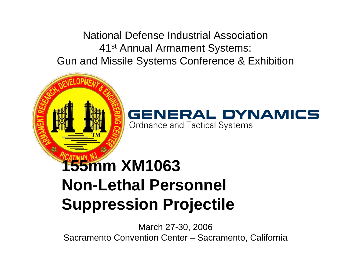National Defense Industrial Association41st Annual Armament Systems: Gun and Missile Systems Conference & Exhibition



#### GENERAL DYNAMICS **Ordnance and Tactical Systems**

# **155mm XM1063 Non-Lethal Personnel Suppression Projectile**

March 27-30, 2006 Sacramento Convention Center – Sacramento, California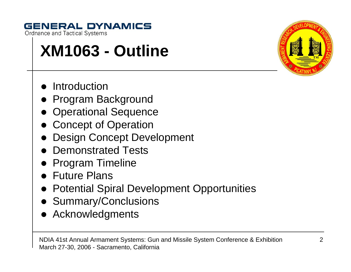## **GENERAL DYNAMICS**

**Ordnance and Tactical Systems** 

# **XM1063 - Outline**

- $\bullet$ **Introduction**
- Program Background
- Operational Sequence
- Concept of Operation
- $\bullet$ Design Concept Development
- $\bullet$ Demonstrated Tests
- $\bullet$ Program Timeline
- Future Plans
- $\bullet$ Potential Spiral Development Opportunities
- Summary/Conclusions
- $\bullet$ Acknowledgments

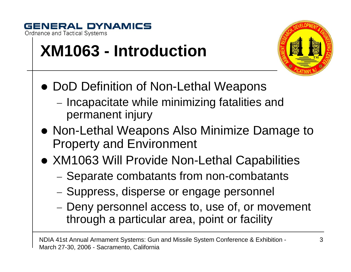

# **XM1063 - Introduction**



- DoD Definition of Non-Lethal Weapons
	- −– Incapacitate while minimizing fatalities and permanent injury
- Non-Lethal Weapons Also Minimize Damage to Property and Environment
- XM1063 Will Provide Non-Lethal Capabilities
	- −– Separate combatants from non-combatants
	- −- Suppress, disperse or engage personnel
	- −- Deny personnel access to, use of, or movement through a particular area, point or facility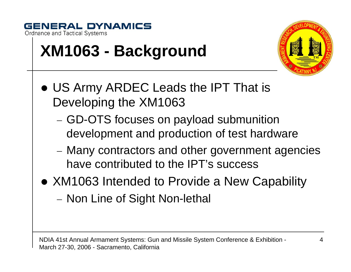

# **XM1063 - Background**



- US Army ARDEC Leads the IPT That is Developing the XM1063
	- −– GD-OTS focuses on payload submunition development and production of test hardware
	- − Many contractors and other government agencies have contributed to the IPT's success
- XM1063 Intended to Provide a New Capability
	- −– Non Line of Sight Non-lethal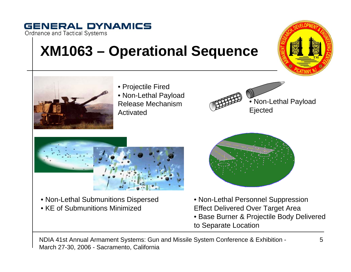# **XM1063 – Operational Sequence**





**Ordnance and Tactical Systems** 

**GENERAL DYNAMICS** 

• Projectile Fired • Non-Lethal Payload Release Mechanism Activated





• Non-Lethal Submunitions Dispersed • KE of Submunitions Minimized



- Non-Lethal Personnel Suppression Effect Delivered Over Target Area
- Base Burner & Projectile Body Delivered to Separate Location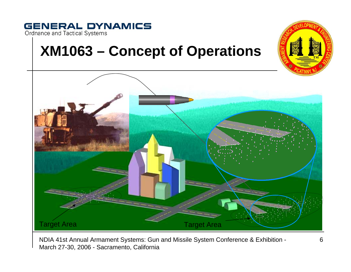#### **GENERAL DYNAMICS** Ordnance and Tactical Systems

## **XM1063 – Concept of Operations**

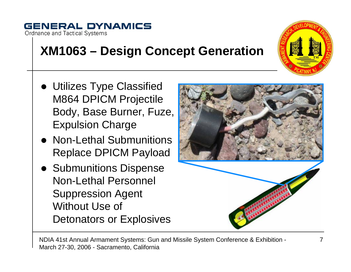#### **GENERAL DYNAMICS Ordnance and Tactical Systems**

## **XM1063 – Design Concept Generation**

- Utilizes Type Classified M864 DPICM Projectile Body, Base Burner, Fuze, Expulsion Charge
- Non-Lethal Submunitions Replace DPICM Payload
- Submunitions Dispense Non-Lethal Personnel Suppression Agent Without Use of Detonators or Explosives



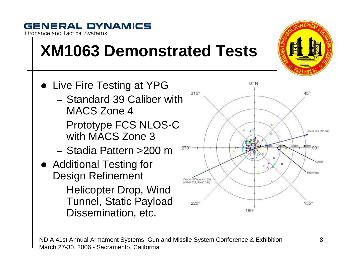#### NDIA 41st Annual Armament Systems: Gun and Missile System Conference & Exhibition - March 27-30, 2006 - Sacramento, California

Center of Dispersion (m) **DZE FEATA RCO MARKIT** 

 $225^\circ$ 

#### **GENERAL DYNAMICS Ordnance and Tactical Systems**

# **XM1063 Demonstrated Tests**

- Live Fire Testing at YPG  $315^\circ$ − Standard 39 Caliber with MACS Zone 4– Prototype FCS NLOS-C with MACS Zone 3 $270^\circ$ 
	- − Stadia Pattern >200 m
- Additional Testing for Design Refinement
	- Helicopter Drop, Wind Tunnel, Static Payload Dissemination, etc.



 $180^\circ$ 



Base Plate

 $135^\circ$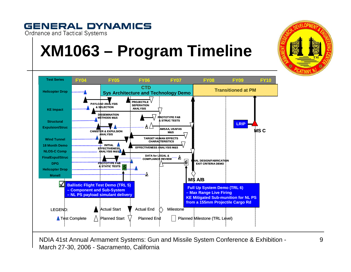

### **GENERAL DYNAMICS**

**Ordnance and Tactical Systems**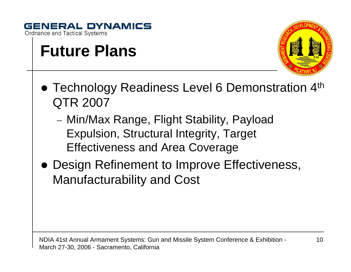

## **Future Plans**



- Technology Readiness Level 6 Demonstration 4<sup>th</sup> QTR 2007
	- − Min/Max Range, Flight Stability, Payload Expulsion, Structural Integrity, Target Effectiveness and Area Coverage
- Design Refinement to Improve Effectiveness, Manufacturability and Cost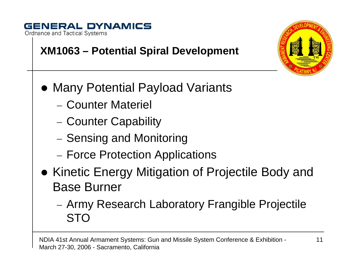## **XM1063 – Potential Spiral Development**

- Many Potential Payload Variants
	- − Counter Materiel
	- −– Counter Capability
	- −– Sensing and Monitoring
	- −– Force Protection Applications
- Kinetic Energy Mitigation of Projectile Body and Base Burner
	- − Army Research Laboratory Frangible Projectile STO

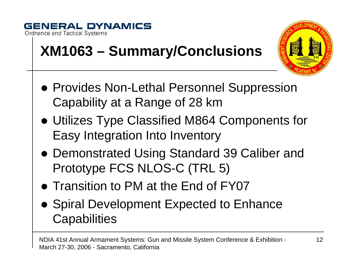

# **XM1063 – Summary/Conclusions**



- **Provides Non-Lethal Personnel Suppression** Capability at a Range of 28 km
- Utilizes Type Classified M864 Components for Easy Integration Into Inventory
- Demonstrated Using Standard 39 Caliber and Prototype FCS NLOS-C (TRL 5)
- Transition to PM at the End of FY07
- Spiral Development Expected to Enhance **Capabilities**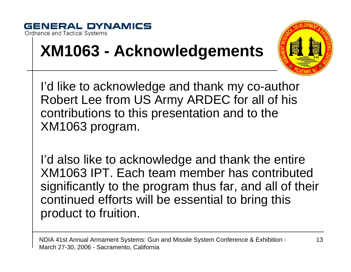

# **XM1063 - Acknowledgements**



I'd like to acknowledge and thank my co-author Robert Lee from US Army ARDEC for all of his contributions to this presentation and to the XM1063 program.

I'd also like to acknowledge and thank the entire XM1063 IPT. Each team member has contributed significantly to the program thus far, and all of their continued efforts will be essential to bring this product to fruition.